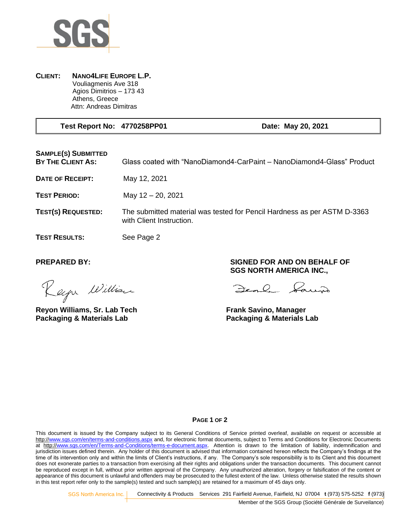

## **CLIENT: NANO4LIFE EUROPE L.P.** Vouliagmenis Ave 318 Agios Dimitrios – 173 43 Athens, Greece Attn: Andreas Dimitras

 **Test Report No: 4770258PP01 Date: May 20, 2021**

**SAMPLE(S) SUBMITTED** 

**BY THE CLIENT AS:** Glass coated with "NanoDiamond4-CarPaint – NanoDiamond4-Glass" Product

**DATE OF RECEIPT:** May 12, 2021

**TEST PERIOD:** May 12 – 20, 2021

**TEST(S) REQUESTED:** The submitted material was tested for Pencil Hardness as per ASTM D-3363 with Client Instruction.

**TEST RESULTS:** See Page 2

Rapa William

**Reyon Williams, Sr. Lab Tech Frank Savino, Manager Packaging & Materials Lab Packaging & Materials Lab**

**PREPARED BY: SIGNED FOR AND ON BEHALF OF SGS NORTH AMERICA INC.,**

Den l'aun

## **PAGE 1 OF 2**

This document is issued by the Company subject to its General Conditions of Service printed overleaf, available on request or accessible at http:/[/www.sgs.com/en/terms-and-conditions.aspx](http://www.sgs.com/en/terms-and-conditions.aspx) and, for electronic format documents, subject to Terms and Conditions for Electronic Documents at http:[//www.sgs.com/en/Terms-and-Conditions/terms-e-document.aspx.](http://www.sgs.com/en/Terms-and-Conditions/terms-e-document.aspx) Attention is drawn to the limitation of liability, indemnification and jurisdiction issues defined therein. Any holder of this document is advised that information contained hereon reflects the Company's findings at the time of its intervention only and within the limits of Client's instructions, if any. The Company's sole responsibility is to its Client and this document does not exonerate parties to a transaction from exercising all their rights and obligations under the transaction documents. This document cannot be reproduced except in full, without prior written approval of the Company. Any unauthorized alteration, forgery or falsification of the content or appearance of this document is unlawful and offenders may be prosecuted to the fullest extent of the law. Unless otherwise stated the results shown in this test report refer only to the sample(s) tested and such sample(s) are retained for a maximum of 45 days only.

SGS North America Inc. Connectivity & Products Services 291 Fairfield Avenue, Fairfield, NJ 07004 **t** (973) 575-5252 **f** (973)

Member of the SGS Group (Société Générale de Surveilance)